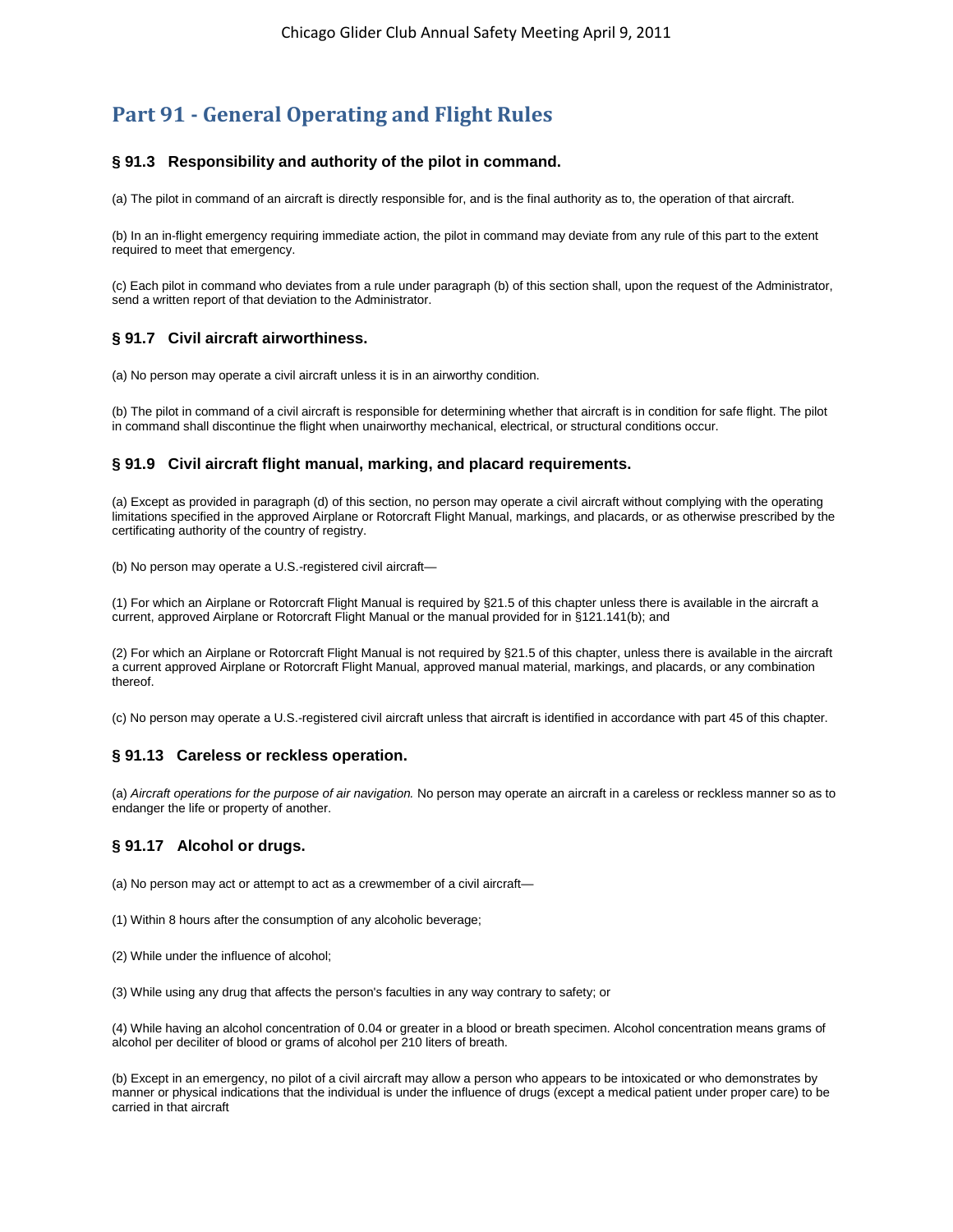# **Part 91 - General Operating and Flight Rules**

### **§ 91.3 Responsibility and authority of the pilot in command.**

(a) The pilot in command of an aircraft is directly responsible for, and is the final authority as to, the operation of that aircraft.

(b) In an in-flight emergency requiring immediate action, the pilot in command may deviate from any rule of this part to the extent required to meet that emergency.

(c) Each pilot in command who deviates from a rule under paragraph (b) of this section shall, upon the request of the Administrator, send a written report of that deviation to the Administrator.

# **§ 91.7 Civil aircraft airworthiness.**

(a) No person may operate a civil aircraft unless it is in an airworthy condition.

(b) The pilot in command of a civil aircraft is responsible for determining whether that aircraft is in condition for safe flight. The pilot in command shall discontinue the flight when unairworthy mechanical, electrical, or structural conditions occur.

### **§ 91.9 Civil aircraft flight manual, marking, and placard requirements.**

(a) Except as provided in paragraph (d) of this section, no person may operate a civil aircraft without complying with the operating limitations specified in the approved Airplane or Rotorcraft Flight Manual, markings, and placards, or as otherwise prescribed by the certificating authority of the country of registry.

(b) No person may operate a U.S.-registered civil aircraft—

(1) For which an Airplane or Rotorcraft Flight Manual is required by §21.5 of this chapter unless there is available in the aircraft a current, approved Airplane or Rotorcraft Flight Manual or the manual provided for in §121.141(b); and

(2) For which an Airplane or Rotorcraft Flight Manual is not required by §21.5 of this chapter, unless there is available in the aircraft a current approved Airplane or Rotorcraft Flight Manual, approved manual material, markings, and placards, or any combination thereof.

(c) No person may operate a U.S.-registered civil aircraft unless that aircraft is identified in accordance with part 45 of this chapter.

# **§ 91.13 Careless or reckless operation.**

(a) *Aircraft operations for the purpose of air navigation.* No person may operate an aircraft in a careless or reckless manner so as to endanger the life or property of another.

# **§ 91.17 Alcohol or drugs.**

(a) No person may act or attempt to act as a crewmember of a civil aircraft—

(1) Within 8 hours after the consumption of any alcoholic beverage;

(2) While under the influence of alcohol;

(3) While using any drug that affects the person's faculties in any way contrary to safety; or

(4) While having an alcohol concentration of 0.04 or greater in a blood or breath specimen. Alcohol concentration means grams of alcohol per deciliter of blood or grams of alcohol per 210 liters of breath.

(b) Except in an emergency, no pilot of a civil aircraft may allow a person who appears to be intoxicated or who demonstrates by manner or physical indications that the individual is under the influence of drugs (except a medical patient under proper care) to be carried in that aircraft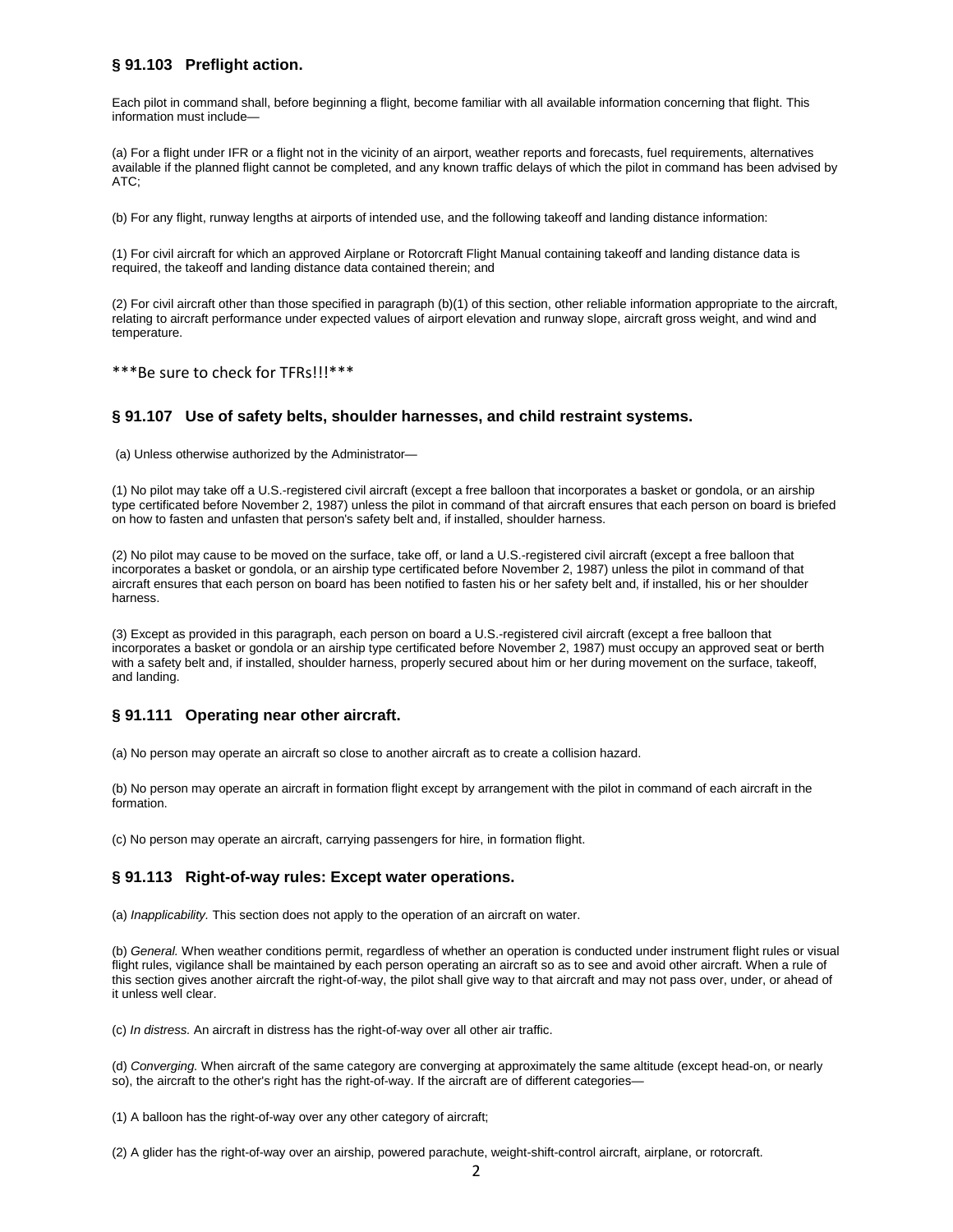# **§ 91.103 Preflight action.**

Each pilot in command shall, before beginning a flight, become familiar with all available information concerning that flight. This information must include—

(a) For a flight under IFR or a flight not in the vicinity of an airport, weather reports and forecasts, fuel requirements, alternatives available if the planned flight cannot be completed, and any known traffic delays of which the pilot in command has been advised by ATC;

(b) For any flight, runway lengths at airports of intended use, and the following takeoff and landing distance information:

(1) For civil aircraft for which an approved Airplane or Rotorcraft Flight Manual containing takeoff and landing distance data is required, the takeoff and landing distance data contained therein; and

(2) For civil aircraft other than those specified in paragraph (b)(1) of this section, other reliable information appropriate to the aircraft, relating to aircraft performance under expected values of airport elevation and runway slope, aircraft gross weight, and wind and temperature.

\*\*\*Be sure to check for TFRs!!!\*\*\*

# **§ 91.107 Use of safety belts, shoulder harnesses, and child restraint systems.**

(a) Unless otherwise authorized by the Administrator—

(1) No pilot may take off a U.S.-registered civil aircraft (except a free balloon that incorporates a basket or gondola, or an airship type certificated before November 2, 1987) unless the pilot in command of that aircraft ensures that each person on board is briefed on how to fasten and unfasten that person's safety belt and, if installed, shoulder harness.

(2) No pilot may cause to be moved on the surface, take off, or land a U.S.-registered civil aircraft (except a free balloon that incorporates a basket or gondola, or an airship type certificated before November 2, 1987) unless the pilot in command of that aircraft ensures that each person on board has been notified to fasten his or her safety belt and, if installed, his or her shoulder harness.

(3) Except as provided in this paragraph, each person on board a U.S.-registered civil aircraft (except a free balloon that incorporates a basket or gondola or an airship type certificated before November 2, 1987) must occupy an approved seat or berth with a safety belt and, if installed, shoulder harness, properly secured about him or her during movement on the surface, takeoff, and landing.

# **§ 91.111 Operating near other aircraft.**

(a) No person may operate an aircraft so close to another aircraft as to create a collision hazard.

(b) No person may operate an aircraft in formation flight except by arrangement with the pilot in command of each aircraft in the formation.

(c) No person may operate an aircraft, carrying passengers for hire, in formation flight.

### **§ 91.113 Right-of-way rules: Except water operations.**

(a) *Inapplicability.* This section does not apply to the operation of an aircraft on water.

(b) *General.* When weather conditions permit, regardless of whether an operation is conducted under instrument flight rules or visual flight rules, vigilance shall be maintained by each person operating an aircraft so as to see and avoid other aircraft. When a rule of this section gives another aircraft the right-of-way, the pilot shall give way to that aircraft and may not pass over, under, or ahead of it unless well clear.

(c) *In distress.* An aircraft in distress has the right-of-way over all other air traffic.

(d) *Converging.* When aircraft of the same category are converging at approximately the same altitude (except head-on, or nearly so), the aircraft to the other's right has the right-of-way. If the aircraft are of different categories—

(1) A balloon has the right-of-way over any other category of aircraft;

(2) A glider has the right-of-way over an airship, powered parachute, weight-shift-control aircraft, airplane, or rotorcraft.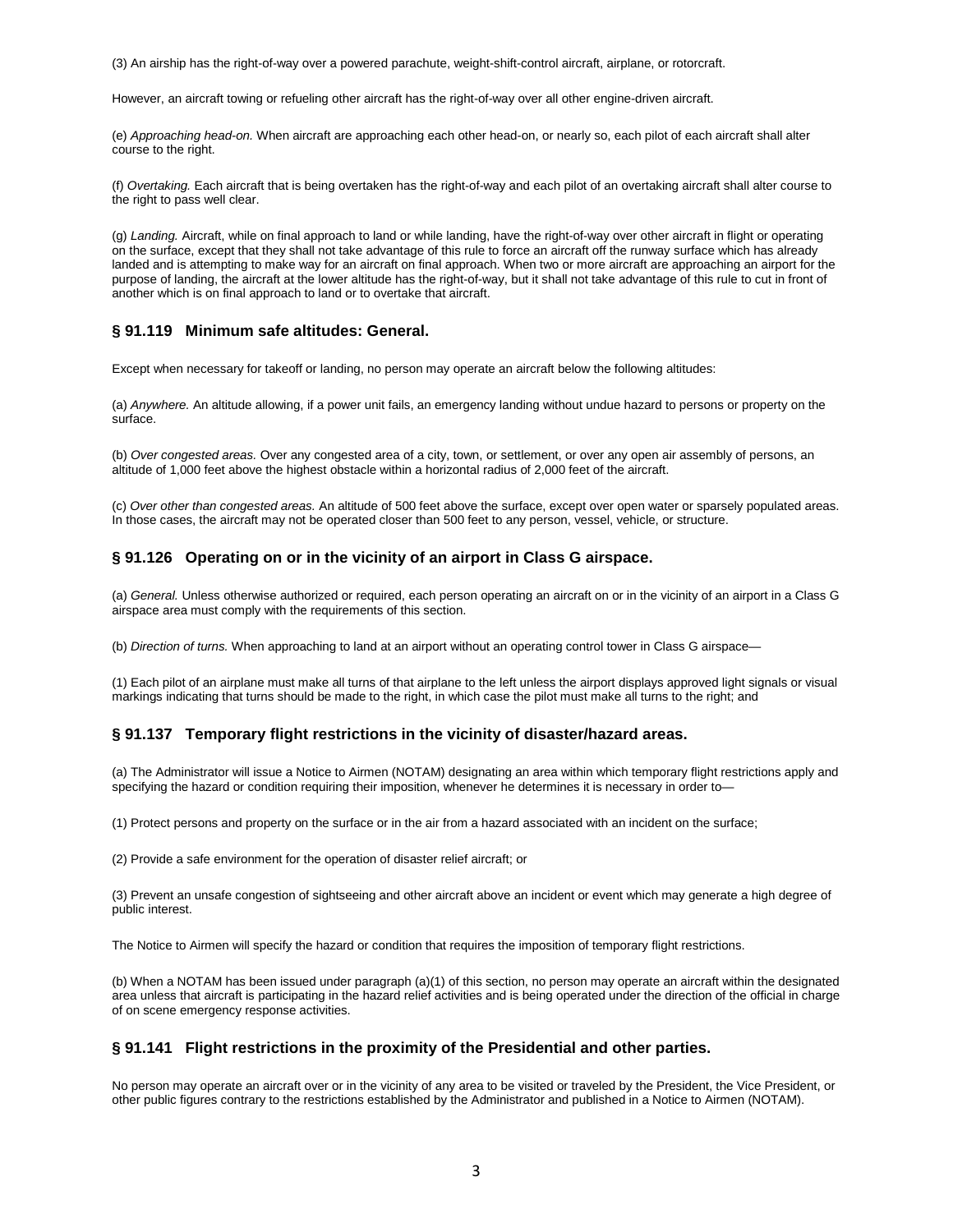(3) An airship has the right-of-way over a powered parachute, weight-shift-control aircraft, airplane, or rotorcraft.

However, an aircraft towing or refueling other aircraft has the right-of-way over all other engine-driven aircraft.

(e) *Approaching head-on.* When aircraft are approaching each other head-on, or nearly so, each pilot of each aircraft shall alter course to the right.

(f) *Overtaking.* Each aircraft that is being overtaken has the right-of-way and each pilot of an overtaking aircraft shall alter course to the right to pass well clear.

(g) *Landing.* Aircraft, while on final approach to land or while landing, have the right-of-way over other aircraft in flight or operating on the surface, except that they shall not take advantage of this rule to force an aircraft off the runway surface which has already landed and is attempting to make way for an aircraft on final approach. When two or more aircraft are approaching an airport for the purpose of landing, the aircraft at the lower altitude has the right-of-way, but it shall not take advantage of this rule to cut in front of another which is on final approach to land or to overtake that aircraft.

#### **§ 91.119 Minimum safe altitudes: General.**

Except when necessary for takeoff or landing, no person may operate an aircraft below the following altitudes:

(a) *Anywhere.* An altitude allowing, if a power unit fails, an emergency landing without undue hazard to persons or property on the surface.

(b) *Over congested areas.* Over any congested area of a city, town, or settlement, or over any open air assembly of persons, an altitude of 1,000 feet above the highest obstacle within a horizontal radius of 2,000 feet of the aircraft.

(c) *Over other than congested areas.* An altitude of 500 feet above the surface, except over open water or sparsely populated areas. In those cases, the aircraft may not be operated closer than 500 feet to any person, vessel, vehicle, or structure.

#### **§ 91.126 Operating on or in the vicinity of an airport in Class G airspace.**

(a) *General.* Unless otherwise authorized or required, each person operating an aircraft on or in the vicinity of an airport in a Class G airspace area must comply with the requirements of this section.

(b) *Direction of turns.* When approaching to land at an airport without an operating control tower in Class G airspace—

(1) Each pilot of an airplane must make all turns of that airplane to the left unless the airport displays approved light signals or visual markings indicating that turns should be made to the right, in which case the pilot must make all turns to the right; and

### **§ 91.137 Temporary flight restrictions in the vicinity of disaster/hazard areas.**

(a) The Administrator will issue a Notice to Airmen (NOTAM) designating an area within which temporary flight restrictions apply and specifying the hazard or condition requiring their imposition, whenever he determines it is necessary in order to—

(1) Protect persons and property on the surface or in the air from a hazard associated with an incident on the surface;

(2) Provide a safe environment for the operation of disaster relief aircraft; or

(3) Prevent an unsafe congestion of sightseeing and other aircraft above an incident or event which may generate a high degree of public interest.

The Notice to Airmen will specify the hazard or condition that requires the imposition of temporary flight restrictions.

(b) When a NOTAM has been issued under paragraph (a)(1) of this section, no person may operate an aircraft within the designated area unless that aircraft is participating in the hazard relief activities and is being operated under the direction of the official in charge of on scene emergency response activities.

# **§ 91.141 Flight restrictions in the proximity of the Presidential and other parties.**

No person may operate an aircraft over or in the vicinity of any area to be visited or traveled by the President, the Vice President, or other public figures contrary to the restrictions established by the Administrator and published in a Notice to Airmen (NOTAM).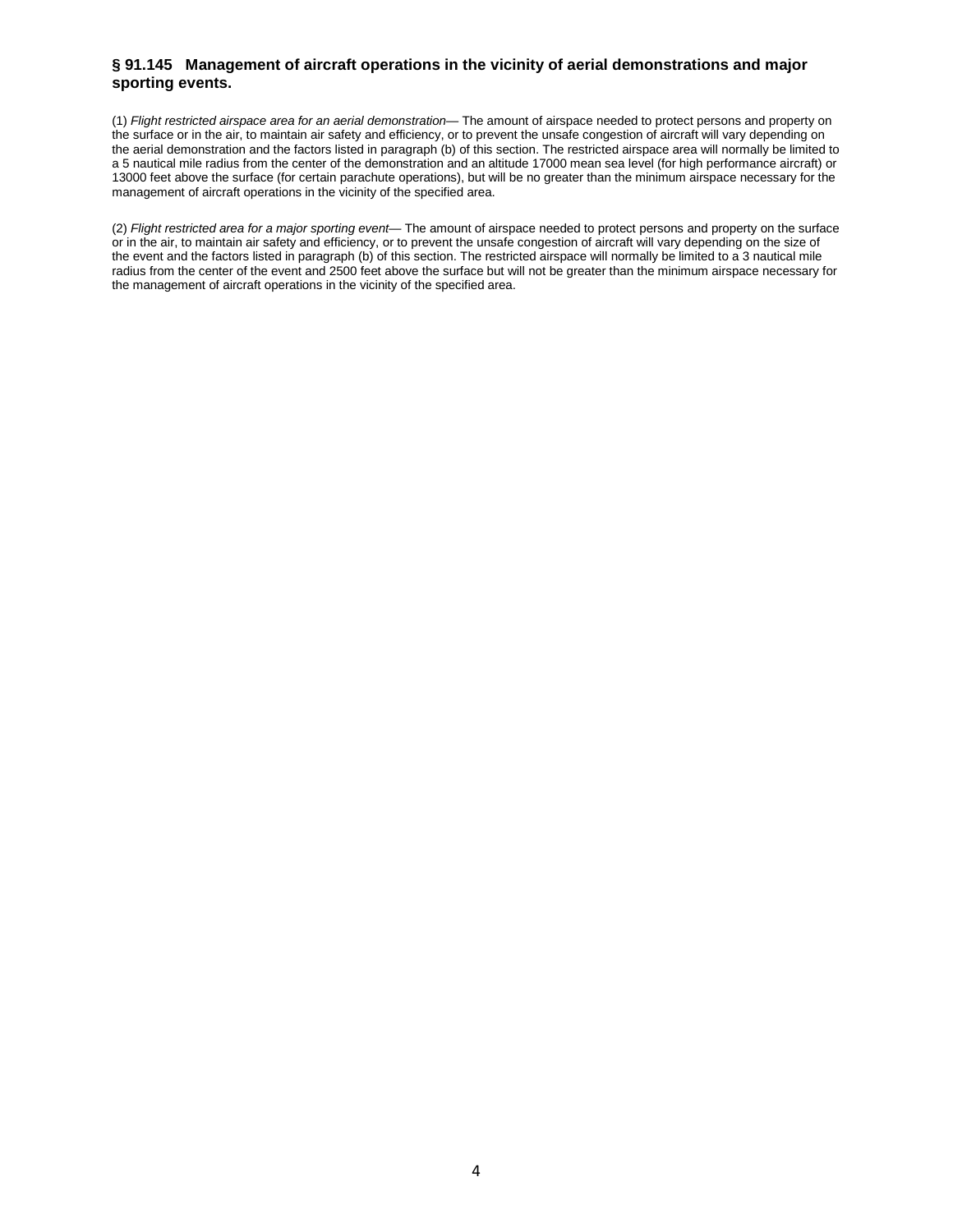# **§ 91.145 Management of aircraft operations in the vicinity of aerial demonstrations and major sporting events.**

(1) *Flight restricted airspace area for an aerial demonstration—* The amount of airspace needed to protect persons and property on the surface or in the air, to maintain air safety and efficiency, or to prevent the unsafe congestion of aircraft will vary depending on the aerial demonstration and the factors listed in paragraph (b) of this section. The restricted airspace area will normally be limited to a 5 nautical mile radius from the center of the demonstration and an altitude 17000 mean sea level (for high performance aircraft) or 13000 feet above the surface (for certain parachute operations), but will be no greater than the minimum airspace necessary for the management of aircraft operations in the vicinity of the specified area.

(2) *Flight restricted area for a major sporting event—* The amount of airspace needed to protect persons and property on the surface or in the air, to maintain air safety and efficiency, or to prevent the unsafe congestion of aircraft will vary depending on the size of the event and the factors listed in paragraph (b) of this section. The restricted airspace will normally be limited to a 3 nautical mile radius from the center of the event and 2500 feet above the surface but will not be greater than the minimum airspace necessary for the management of aircraft operations in the vicinity of the specified area.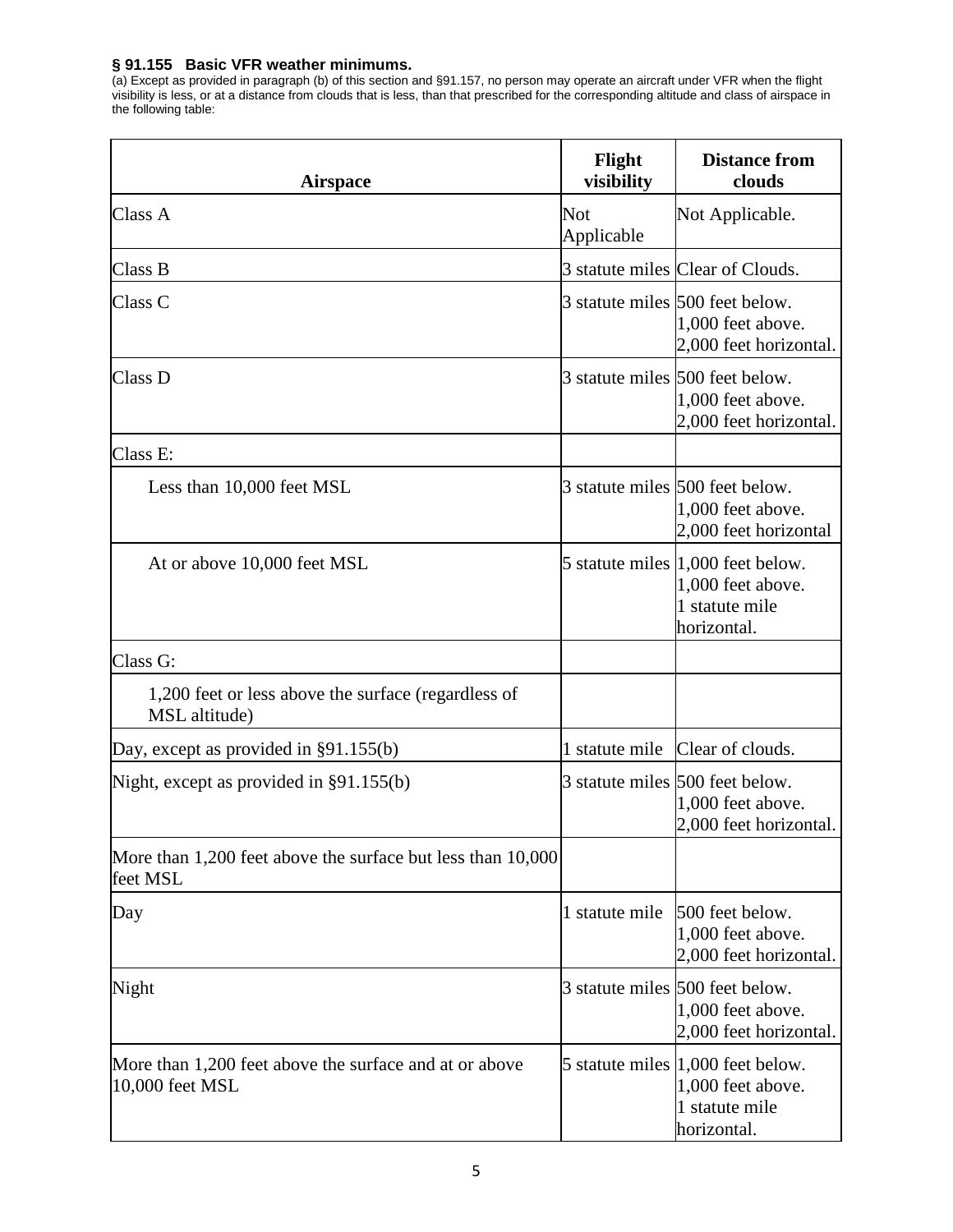# **§ 91.155 Basic VFR weather minimums.**

(a) Except as provided in paragraph (b) of this section and §91.157, no person may operate an aircraft under VFR when the flight visibility is less, or at a distance from clouds that is less, than that prescribed for the corresponding altitude and class of airspace in the following table:

| <b>Airspace</b>                                                           | Flight<br>visibility     | <b>Distance from</b><br>clouds                                                                    |
|---------------------------------------------------------------------------|--------------------------|---------------------------------------------------------------------------------------------------|
| Class A                                                                   | <b>Not</b><br>Applicable | Not Applicable.                                                                                   |
| Class B                                                                   |                          | 3 statute miles Clear of Clouds.                                                                  |
| Class C                                                                   |                          | 3 statute miles 500 feet below.<br>1,000 feet above.<br>2,000 feet horizontal.                    |
| Class D                                                                   |                          | 3 statute miles 500 feet below.<br>1,000 feet above.<br>2,000 feet horizontal.                    |
| Class E:                                                                  |                          |                                                                                                   |
| Less than 10,000 feet MSL                                                 |                          | 3 statute miles 500 feet below.<br>1,000 feet above.<br>2,000 feet horizontal                     |
| At or above 10,000 feet MSL                                               |                          | 5 statute miles 1,000 feet below.<br>1,000 feet above.<br>1 statute mile<br>horizontal.           |
| Class G:                                                                  |                          |                                                                                                   |
| 1,200 feet or less above the surface (regardless of<br>MSL altitude)      |                          |                                                                                                   |
| Day, except as provided in $\S91.155(b)$                                  | 1 statute mile           | Clear of clouds.                                                                                  |
| Night, except as provided in $\S91.155(b)$                                |                          | 3 statute miles 500 feet below.<br>1,000 feet above.<br>2,000 feet horizontal.                    |
| More than 1,200 feet above the surface but less than 10,000<br>feet MSL   |                          |                                                                                                   |
| Day                                                                       | 1 statute mile           | 500 feet below.<br>1,000 feet above.<br>2,000 feet horizontal.                                    |
| Night                                                                     |                          | 3 statute miles 500 feet below.<br>1,000 feet above.<br>2,000 feet horizontal.                    |
| More than 1,200 feet above the surface and at or above<br>10,000 feet MSL |                          | 5 statute miles $ 1,000\rangle$ feet below.<br>1,000 feet above.<br>1 statute mile<br>horizontal. |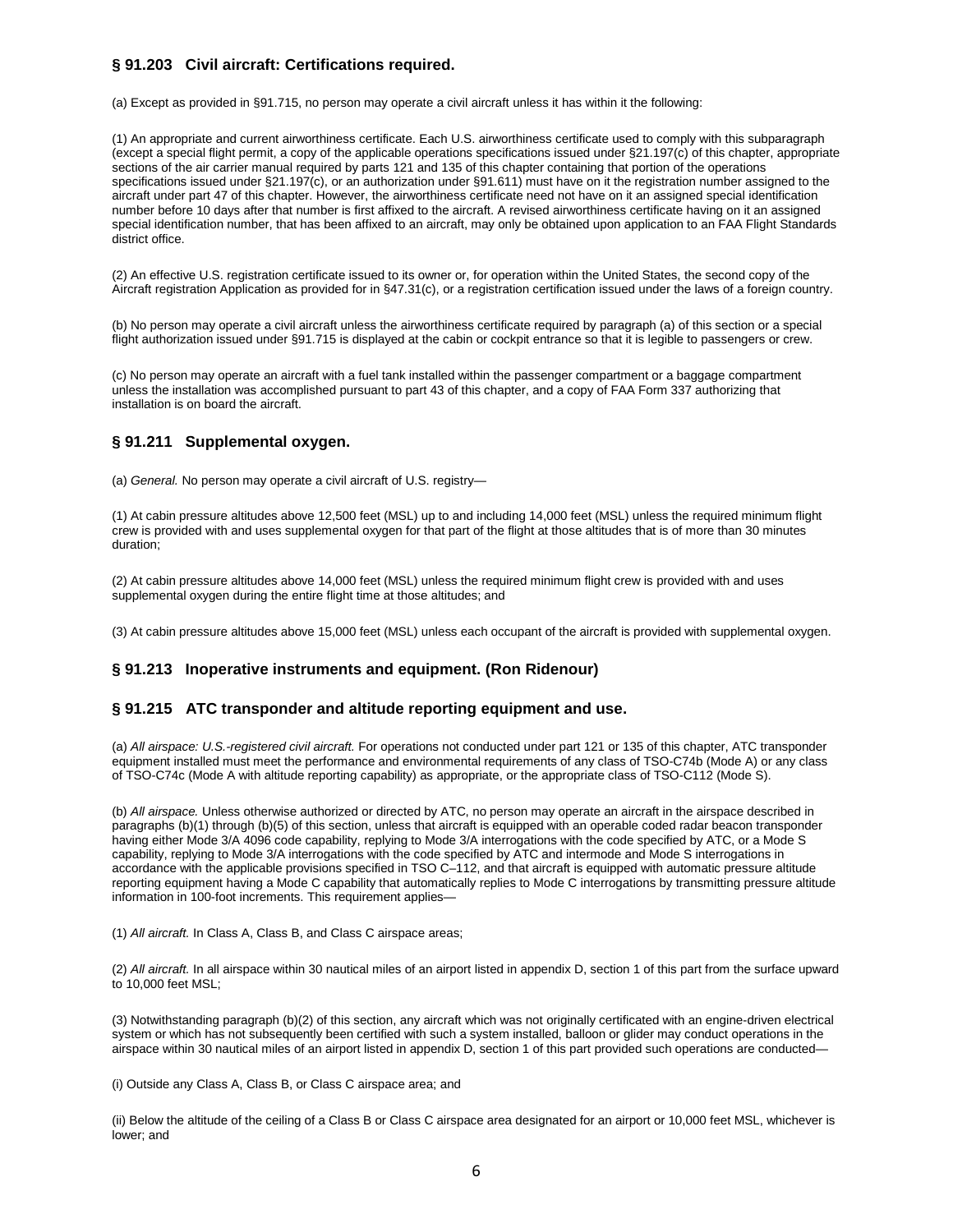# **§ 91.203 Civil aircraft: Certifications required.**

(a) Except as provided in §91.715, no person may operate a civil aircraft unless it has within it the following:

(1) An appropriate and current airworthiness certificate. Each U.S. airworthiness certificate used to comply with this subparagraph (except a special flight permit, a copy of the applicable operations specifications issued under §21.197(c) of this chapter, appropriate sections of the air carrier manual required by parts 121 and 135 of this chapter containing that portion of the operations specifications issued under §21.197(c), or an authorization under §91.611) must have on it the registration number assigned to the aircraft under part 47 of this chapter. However, the airworthiness certificate need not have on it an assigned special identification number before 10 days after that number is first affixed to the aircraft. A revised airworthiness certificate having on it an assigned special identification number, that has been affixed to an aircraft, may only be obtained upon application to an FAA Flight Standards district office.

(2) An effective U.S. registration certificate issued to its owner or, for operation within the United States, the second copy of the Aircraft registration Application as provided for in §47.31(c), or a registration certification issued under the laws of a foreign country.

(b) No person may operate a civil aircraft unless the airworthiness certificate required by paragraph (a) of this section or a special flight authorization issued under §91.715 is displayed at the cabin or cockpit entrance so that it is legible to passengers or crew.

(c) No person may operate an aircraft with a fuel tank installed within the passenger compartment or a baggage compartment unless the installation was accomplished pursuant to part 43 of this chapter, and a copy of FAA Form 337 authorizing that installation is on board the aircraft.

# **§ 91.211 Supplemental oxygen.**

(a) *General.* No person may operate a civil aircraft of U.S. registry—

(1) At cabin pressure altitudes above 12,500 feet (MSL) up to and including 14,000 feet (MSL) unless the required minimum flight crew is provided with and uses supplemental oxygen for that part of the flight at those altitudes that is of more than 30 minutes duration;

(2) At cabin pressure altitudes above 14,000 feet (MSL) unless the required minimum flight crew is provided with and uses supplemental oxygen during the entire flight time at those altitudes; and

(3) At cabin pressure altitudes above 15,000 feet (MSL) unless each occupant of the aircraft is provided with supplemental oxygen.

### **§ 91.213 Inoperative instruments and equipment. (Ron Ridenour)**

### **§ 91.215 ATC transponder and altitude reporting equipment and use.**

(a) *All airspace: U.S.-registered civil aircraft.* For operations not conducted under part 121 or 135 of this chapter, ATC transponder equipment installed must meet the performance and environmental requirements of any class of TSO-C74b (Mode A) or any class of TSO-C74c (Mode A with altitude reporting capability) as appropriate, or the appropriate class of TSO-C112 (Mode S).

(b) *All airspace.* Unless otherwise authorized or directed by ATC, no person may operate an aircraft in the airspace described in paragraphs (b)(1) through (b)(5) of this section, unless that aircraft is equipped with an operable coded radar beacon transponder having either Mode 3/A 4096 code capability, replying to Mode 3/A interrogations with the code specified by ATC, or a Mode S capability, replying to Mode 3/A interrogations with the code specified by ATC and intermode and Mode S interrogations in accordance with the applicable provisions specified in TSO C–112, and that aircraft is equipped with automatic pressure altitude reporting equipment having a Mode C capability that automatically replies to Mode C interrogations by transmitting pressure altitude information in 100-foot increments. This requirement applies—

(1) *All aircraft.* In Class A, Class B, and Class C airspace areas;

(2) *All aircraft.* In all airspace within 30 nautical miles of an airport listed in appendix D, section 1 of this part from the surface upward to 10,000 feet MSL;

(3) Notwithstanding paragraph (b)(2) of this section, any aircraft which was not originally certificated with an engine-driven electrical system or which has not subsequently been certified with such a system installed, balloon or glider may conduct operations in the airspace within 30 nautical miles of an airport listed in appendix D, section 1 of this part provided such operations are conducted—

(i) Outside any Class A, Class B, or Class C airspace area; and

(ii) Below the altitude of the ceiling of a Class B or Class C airspace area designated for an airport or 10,000 feet MSL, whichever is lower; and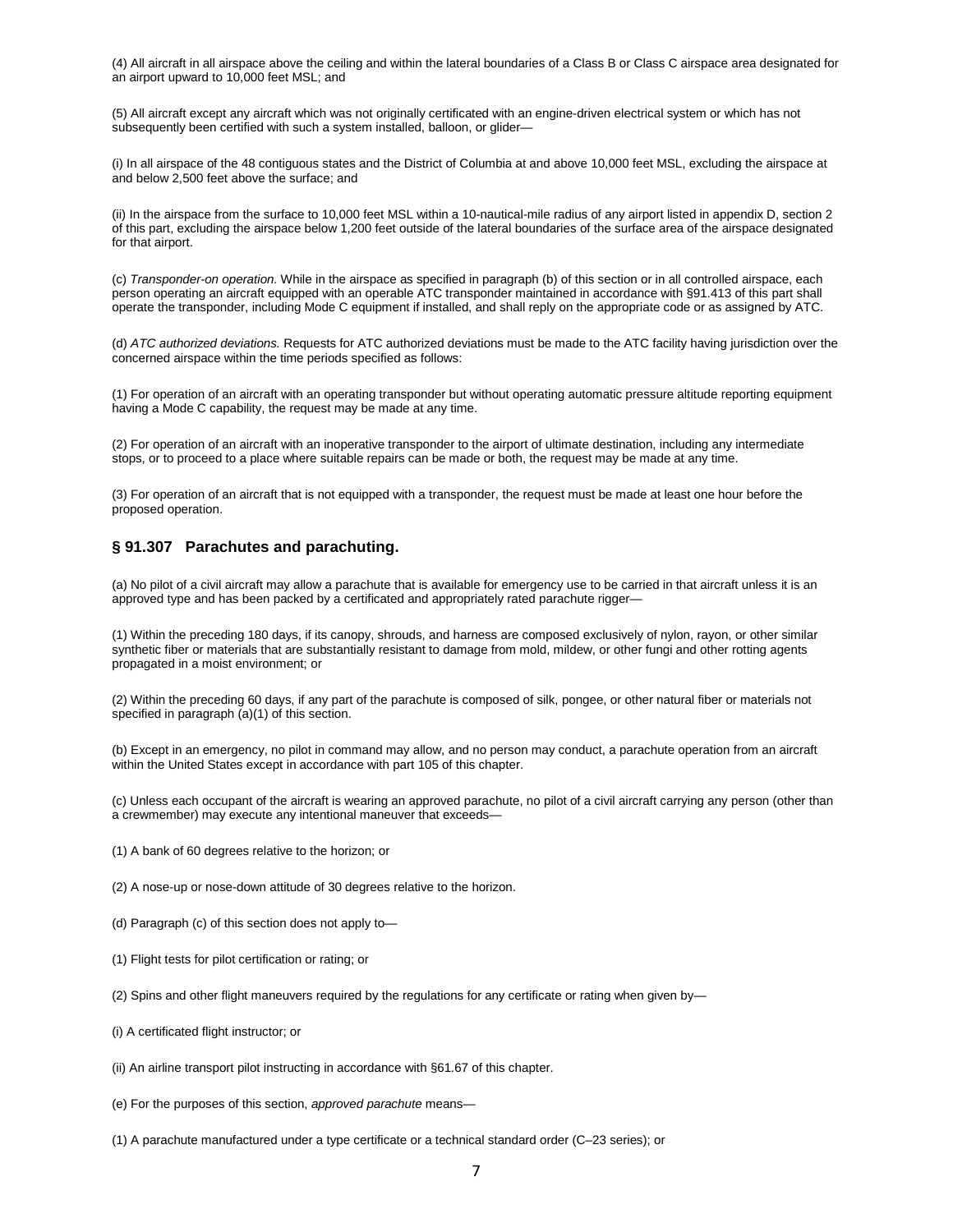(4) All aircraft in all airspace above the ceiling and within the lateral boundaries of a Class B or Class C airspace area designated for an airport upward to 10,000 feet MSL; and

(5) All aircraft except any aircraft which was not originally certificated with an engine-driven electrical system or which has not subsequently been certified with such a system installed, balloon, or glider-

(i) In all airspace of the 48 contiguous states and the District of Columbia at and above 10,000 feet MSL, excluding the airspace at and below 2,500 feet above the surface; and

(ii) In the airspace from the surface to 10,000 feet MSL within a 10-nautical-mile radius of any airport listed in appendix D, section 2 of this part, excluding the airspace below 1,200 feet outside of the lateral boundaries of the surface area of the airspace designated for that airport.

(c) *Transponder-on operation.* While in the airspace as specified in paragraph (b) of this section or in all controlled airspace, each person operating an aircraft equipped with an operable ATC transponder maintained in accordance with §91.413 of this part shall operate the transponder, including Mode C equipment if installed, and shall reply on the appropriate code or as assigned by ATC.

(d) *ATC authorized deviations.* Requests for ATC authorized deviations must be made to the ATC facility having jurisdiction over the concerned airspace within the time periods specified as follows:

(1) For operation of an aircraft with an operating transponder but without operating automatic pressure altitude reporting equipment having a Mode C capability, the request may be made at any time.

(2) For operation of an aircraft with an inoperative transponder to the airport of ultimate destination, including any intermediate stops, or to proceed to a place where suitable repairs can be made or both, the request may be made at any time.

(3) For operation of an aircraft that is not equipped with a transponder, the request must be made at least one hour before the proposed operation.

# **§ 91.307 Parachutes and parachuting.**

(a) No pilot of a civil aircraft may allow a parachute that is available for emergency use to be carried in that aircraft unless it is an approved type and has been packed by a certificated and appropriately rated parachute rigger—

(1) Within the preceding 180 days, if its canopy, shrouds, and harness are composed exclusively of nylon, rayon, or other similar synthetic fiber or materials that are substantially resistant to damage from mold, mildew, or other fungi and other rotting agents propagated in a moist environment; or

(2) Within the preceding 60 days, if any part of the parachute is composed of silk, pongee, or other natural fiber or materials not specified in paragraph (a)(1) of this section.

(b) Except in an emergency, no pilot in command may allow, and no person may conduct, a parachute operation from an aircraft within the United States except in accordance with part 105 of this chapter.

(c) Unless each occupant of the aircraft is wearing an approved parachute, no pilot of a civil aircraft carrying any person (other than a crewmember) may execute any intentional maneuver that exceeds—

(1) A bank of 60 degrees relative to the horizon; or

(2) A nose-up or nose-down attitude of 30 degrees relative to the horizon.

- (d) Paragraph (c) of this section does not apply to—
- (1) Flight tests for pilot certification or rating; or
- (2) Spins and other flight maneuvers required by the regulations for any certificate or rating when given by—
- (i) A certificated flight instructor; or
- (ii) An airline transport pilot instructing in accordance with §61.67 of this chapter.
- (e) For the purposes of this section, *approved parachute* means—
- (1) A parachute manufactured under a type certificate or a technical standard order (C–23 series); or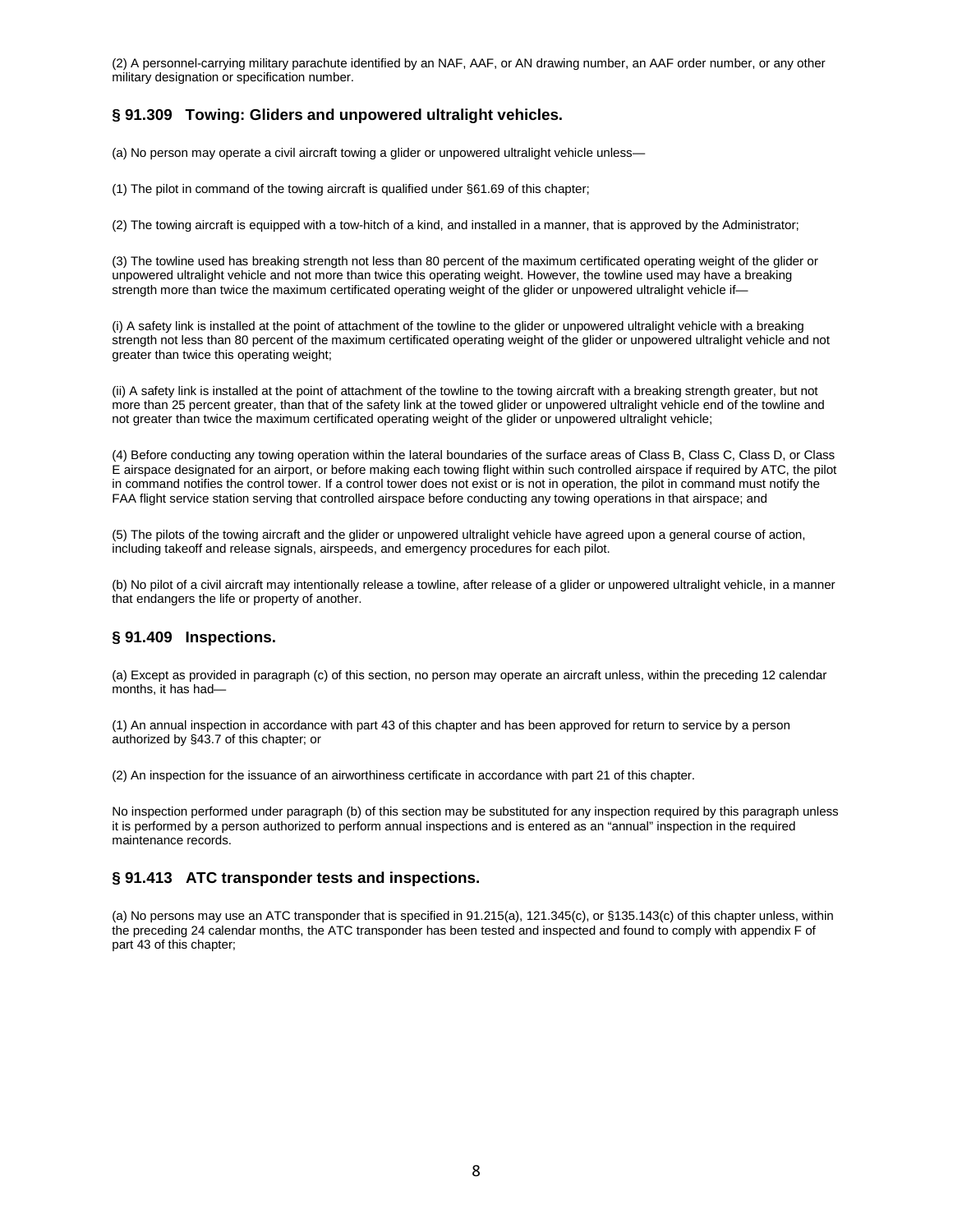(2) A personnel-carrying military parachute identified by an NAF, AAF, or AN drawing number, an AAF order number, or any other military designation or specification number.

# **§ 91.309 Towing: Gliders and unpowered ultralight vehicles.**

(a) No person may operate a civil aircraft towing a glider or unpowered ultralight vehicle unless—

(1) The pilot in command of the towing aircraft is qualified under §61.69 of this chapter;

(2) The towing aircraft is equipped with a tow-hitch of a kind, and installed in a manner, that is approved by the Administrator;

(3) The towline used has breaking strength not less than 80 percent of the maximum certificated operating weight of the glider or unpowered ultralight vehicle and not more than twice this operating weight. However, the towline used may have a breaking strength more than twice the maximum certificated operating weight of the glider or unpowered ultralight vehicle if—

(i) A safety link is installed at the point of attachment of the towline to the glider or unpowered ultralight vehicle with a breaking strength not less than 80 percent of the maximum certificated operating weight of the glider or unpowered ultralight vehicle and not greater than twice this operating weight;

(ii) A safety link is installed at the point of attachment of the towline to the towing aircraft with a breaking strength greater, but not more than 25 percent greater, than that of the safety link at the towed glider or unpowered ultralight vehicle end of the towline and not greater than twice the maximum certificated operating weight of the glider or unpowered ultralight vehicle;

(4) Before conducting any towing operation within the lateral boundaries of the surface areas of Class B, Class C, Class D, or Class E airspace designated for an airport, or before making each towing flight within such controlled airspace if required by ATC, the pilot in command notifies the control tower. If a control tower does not exist or is not in operation, the pilot in command must notify the FAA flight service station serving that controlled airspace before conducting any towing operations in that airspace; and

(5) The pilots of the towing aircraft and the glider or unpowered ultralight vehicle have agreed upon a general course of action, including takeoff and release signals, airspeeds, and emergency procedures for each pilot.

(b) No pilot of a civil aircraft may intentionally release a towline, after release of a glider or unpowered ultralight vehicle, in a manner that endangers the life or property of another.

# **§ 91.409 Inspections.**

(a) Except as provided in paragraph (c) of this section, no person may operate an aircraft unless, within the preceding 12 calendar months, it has had—

(1) An annual inspection in accordance with part 43 of this chapter and has been approved for return to service by a person authorized by §43.7 of this chapter; or

(2) An inspection for the issuance of an airworthiness certificate in accordance with part 21 of this chapter.

No inspection performed under paragraph (b) of this section may be substituted for any inspection required by this paragraph unless it is performed by a person authorized to perform annual inspections and is entered as an "annual" inspection in the required maintenance records.

# **§ 91.413 ATC transponder tests and inspections.**

(a) No persons may use an ATC transponder that is specified in 91.215(a), 121.345(c), or §135.143(c) of this chapter unless, within the preceding 24 calendar months, the ATC transponder has been tested and inspected and found to comply with appendix F of part 43 of this chapter;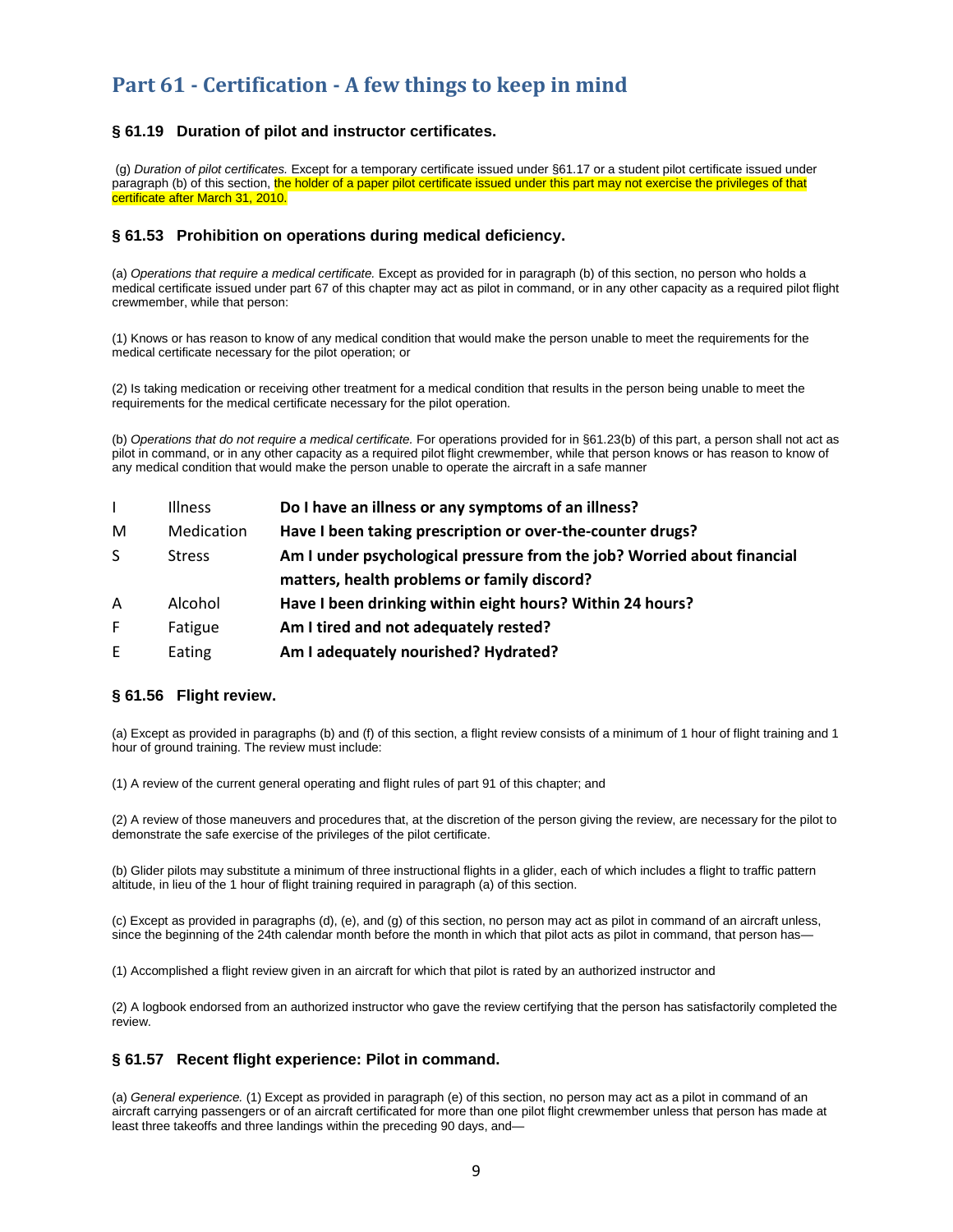# **Part 61 - Certification - A few things to keep in mind**

# **§ 61.19 Duration of pilot and instructor certificates.**

(g) *Duration of pilot certificates.* Except for a temporary certificate issued under §61.17 or a student pilot certificate issued under paragraph (b) of this section, the holder of a paper pilot certificate issued under this part may not exercise the privileges of that certificate after March 31, 2010.

# **§ 61.53 Prohibition on operations during medical deficiency.**

(a) *Operations that require a medical certificate.* Except as provided for in paragraph (b) of this section, no person who holds a medical certificate issued under part 67 of this chapter may act as pilot in command, or in any other capacity as a required pilot flight crewmember, while that person:

(1) Knows or has reason to know of any medical condition that would make the person unable to meet the requirements for the medical certificate necessary for the pilot operation; or

(2) Is taking medication or receiving other treatment for a medical condition that results in the person being unable to meet the requirements for the medical certificate necessary for the pilot operation.

(b) *Operations that do not require a medical certificate.* For operations provided for in §61.23(b) of this part, a person shall not act as pilot in command, or in any other capacity as a required pilot flight crewmember, while that person knows or has reason to know of any medical condition that would make the person unable to operate the aircraft in a safe manner

|    | <b>Illness</b> | Do I have an illness or any symptoms of an illness?                     |
|----|----------------|-------------------------------------------------------------------------|
| м  | Medication     | Have I been taking prescription or over-the-counter drugs?              |
| S. | <b>Stress</b>  | Am I under psychological pressure from the job? Worried about financial |
|    |                | matters, health problems or family discord?                             |
| A  | Alcohol        | Have I been drinking within eight hours? Within 24 hours?               |
| F. | Fatigue        | Am I tired and not adequately rested?                                   |
| E. | Eating         | Am I adequately nourished? Hydrated?                                    |

### **§ 61.56 Flight review.**

(a) Except as provided in paragraphs (b) and (f) of this section, a flight review consists of a minimum of 1 hour of flight training and 1 hour of ground training. The review must include:

(1) A review of the current general operating and flight rules of part 91 of this chapter; and

(2) A review of those maneuvers and procedures that, at the discretion of the person giving the review, are necessary for the pilot to demonstrate the safe exercise of the privileges of the pilot certificate.

(b) Glider pilots may substitute a minimum of three instructional flights in a glider, each of which includes a flight to traffic pattern altitude, in lieu of the 1 hour of flight training required in paragraph (a) of this section.

(c) Except as provided in paragraphs (d), (e), and (g) of this section, no person may act as pilot in command of an aircraft unless, since the beginning of the 24th calendar month before the month in which that pilot acts as pilot in command, that person has-

(1) Accomplished a flight review given in an aircraft for which that pilot is rated by an authorized instructor and

(2) A logbook endorsed from an authorized instructor who gave the review certifying that the person has satisfactorily completed the review.

# **§ 61.57 Recent flight experience: Pilot in command.**

(a) *General experience.* (1) Except as provided in paragraph (e) of this section, no person may act as a pilot in command of an aircraft carrying passengers or of an aircraft certificated for more than one pilot flight crewmember unless that person has made at least three takeoffs and three landings within the preceding 90 days, and